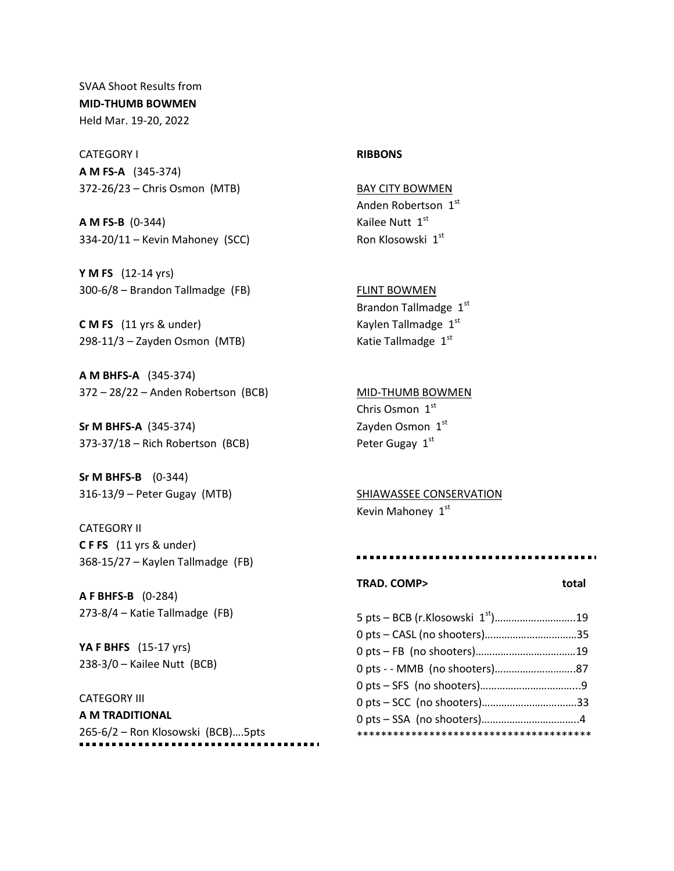SVAA Shoot Results from **MID-THUMB BOWMEN** Held Mar. 19-20, 2022

CATEGORY I **A M FS-A** (345-374) 372-26/23 – Chris Osmon (MTB)

**A M FS-B** (0-344) 334-20/11 – Kevin Mahoney (SCC)

**Y M FS** (12-14 yrs) 300-6/8 – Brandon Tallmadge (FB)

**C M FS** (11 yrs & under) 298-11/3 – Zayden Osmon (MTB)

**A M BHFS-A** (345-374) 372 – 28/22 – Anden Robertson (BCB)

**Sr M BHFS-A** (345-374) 373-37/18 – Rich Robertson (BCB)

**Sr M BHFS-B** (0-344) 316-13/9 – Peter Gugay (MTB)

CATEGORY II **C F FS** (11 yrs & under) 368-15/27 – Kaylen Tallmadge (FB)

**A F BHFS-B** (0-284) 273-8/4 – Katie Tallmadge (FB)

**YA F BHFS** (15-17 yrs) 238-3/0 – Kailee Nutt (BCB)

# CATEGORY III

**A M TRADITIONAL** 265-6/2 – Ron Klosowski (BCB)….5pts

## **RIBBONS**

BAY CITY BOWMEN Anden Robertson 1st Kailee Nutt 1st Ron Klosowski 1st

FLINT BOWMEN Brandon Tallmadge 1st Kaylen Tallmadge 1st Katie Tallmadge 1st

MID-THUMB BOWMEN Chris Osmon 1st Zayden Osmon 1st Peter Gugay 1st

SHIAWASSEE CONSERVATION Kevin Mahoney 1st

#### ...............................

### TRAD. COMP> total

| 0 pts - CASL (no shooters)35 |  |
|------------------------------|--|
|                              |  |
|                              |  |
|                              |  |
|                              |  |
|                              |  |
|                              |  |
|                              |  |